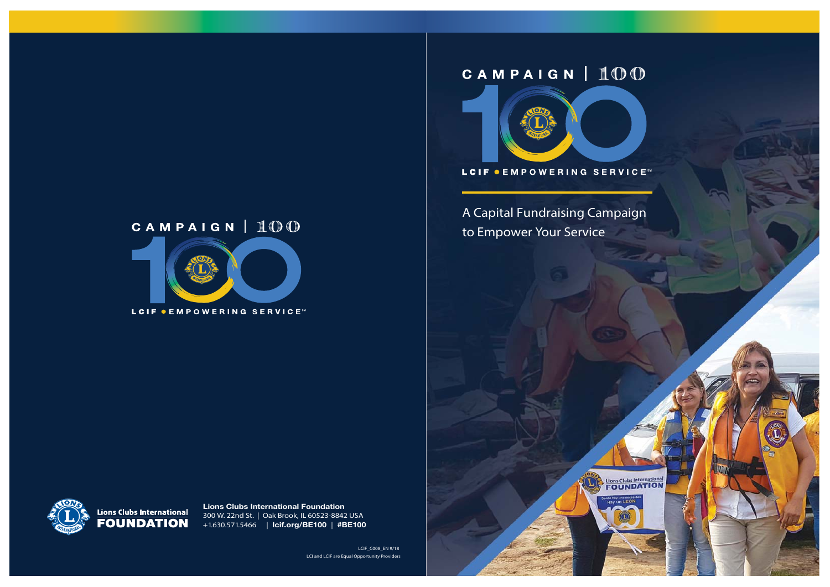# CAMPAIGN | 100



LCIF CEMPOWERING SERVICE

A Capital Fundraising Campaign to Empower Your Service

Lions Clubs International





**Lions Clubs International Foundation** 300 W. 22nd St. | Oak Brook, IL 60523-8842 USA +1.630.571.5466 | **lcif.org/BE100** | **#BE100**

> LCIF\_C008\_EN 9/18 LCI and LCIF are Equal Opportunity Providers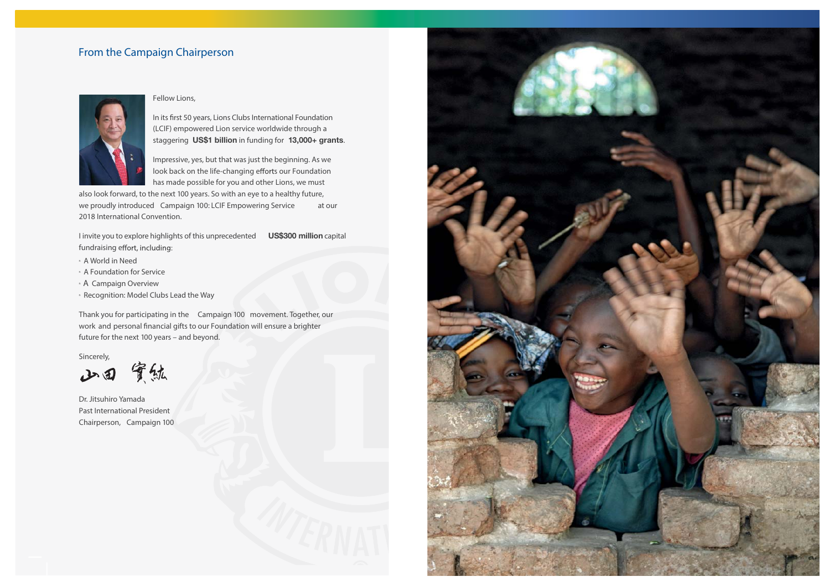### From the Campaign Chairperson



### Fellow Lions,

In its first 50 years, Lions Clubs International Foundation (LCIF) empowered Lion service worldwide through a staggering **US\$1 billion** in funding for **13,000+ grants**.

Impressive, yes, but that was just the beginning. As we look back on the life-changing efforts our Foundation has made possible for you and other Lions, we must

also look forward, to the next 100 years. So with an eye to a healthy future, we proudly introduced Campaign 100: LCIF Empowering Service at our 2018 International Convention.

I invite you to explore highlights of this unprecedented **US\$300 million** capital fundraising effort, including:

- n A World in Need
- n A Foundation for Service
- <sup>n</sup> A Campaign Overview
- **Recognition: Model Clubs Lead the Way**

Thank you for participating in the Campaign 100 movement. Together, our work and personal financial gifts to our Foundation will ensure a brighter future for the next 100 years – and beyond.

Sincerely,

山田 實鉱

Dr. Jitsuhiro Yamada Past International President Chairperson, Campaign 100

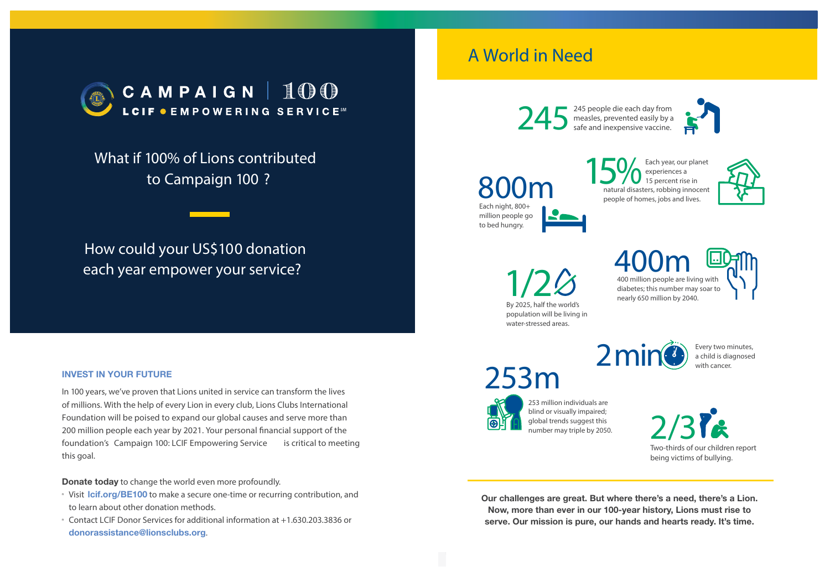

What if 100% of Lions contributed to Campaign 100 ?

# How could your US\$100 donation each year empower your service?

### **INVEST IN YOUR FUTURE**

In 100 years, we've proven that Lions united in service can transform the lives of millions. With the help of every Lion in every club, Lions Clubs International Foundation will be poised to expand our global causes and serve more than 200 million people each year by 2021. Your personal financial support of the foundation's Campaign 100: LCIF Empowering Service is critical to meeting this goal.

### **Donate today** to change the world even more profoundly.

- <sup>n</sup> Visit **lcif.org/BE100** to make a secure one-time or recurring contribution, and to learn about other donation methods.
- n Contact LCIF Donor Services for additional information at +1.630.203.3836 or **donorassistance@lionsclubs.org**.

# A World in Need

245 people die each day from measles, prevented easily by a safe and inexpensive vaccine. 245



Each night, 800+ million people go to bed hungry. 800m





By 2025, half the world' population will be living in water-stressed areas.

400 million people are living with diabetes; this number may soar to nearly 650 million by 2040.  $1/2$   $\odot$   $\odot$   $\odot$   $\odot$   $\odot$   $\odot$   $\odot$   $\odot$   $\odot$   $\odot$   $\odot$   $\odot$   $\odot$   $\odot$   $\odot$   $\odot$   $\odot$   $\odot$   $\odot$   $\odot$   $\odot$   $\odot$   $\odot$   $\odot$   $\odot$   $\odot$   $\odot$   $\odot$   $\odot$   $\odot$   $\odot$   $\odot$   $\odot$   $\odot$   $\odot$   $\odot$ 

253m



Every two minutes, a child is diagnosed with cancer.



253 million individuals are blind or visually impaired; global trends suggest this number may triple by 2050.

2/3 Two-thirds of our children report being victims of bullying.

**Our challenges are great. But where there's a need, there's a Lion. Now, more than ever in our 100-year history, Lions must rise to serve. Our mission is pure, our hands and hearts ready. It's time.**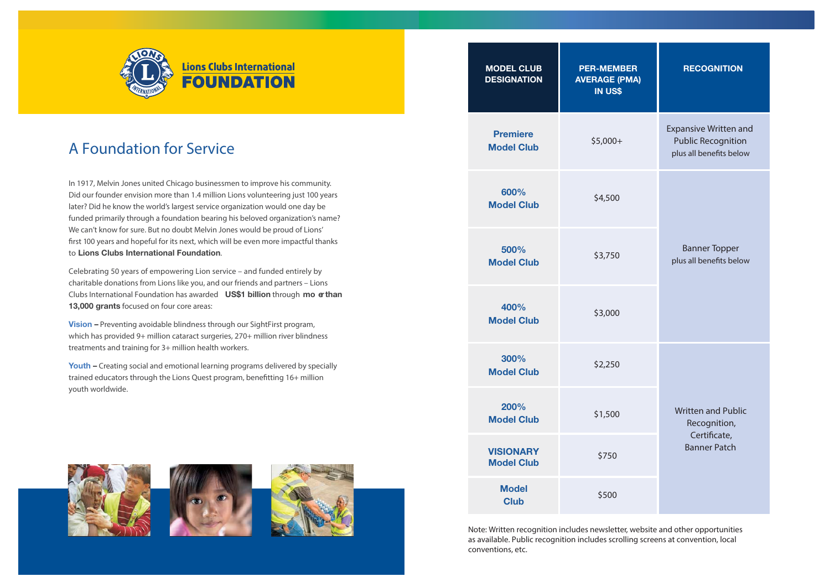

# A Foundation for Service

In 1917, Melvin Jones united Chicago businessmen to improve his community. Did our founder envision more than 1.4 million Lions volunteering just 100 years later? Did he know the world's largest service organization would one day be funded primarily through a foundation bearing his beloved organization's name? We can't know for sure. But no doubt Melvin Jones would be proud of Lions' first 100 years and hopeful for its next, which will be even more impactful thanks to **Lions Clubs International Foundation**.

Celebrating 50 years of empowering Lion service – and funded entirely by charitable donations from Lions like you, and our friends and partners – Lions Clubs International Foundation has awarded **US\$1 billion** through **mo re than 13,000 grants** focused on four core areas:

**Vision –** Preventing avoidable blindness through our SightFirst program, which has provided 9+ million cataract surgeries, 270+ million river blindness treatments and training for 3+ million health workers.

**Youth –** Creating social and emotional learning programs delivered by specially trained educators through the Lions Quest program, benefitting 16+ million youth worldwide.







| <b>MODEL CLUB</b><br><b>DESIGNATION</b> | <b>PER-MEMBER</b><br><b>AVERAGE (PMA)</b><br>IN US\$ | <b>RECOGNITION</b>                                                                   |
|-----------------------------------------|------------------------------------------------------|--------------------------------------------------------------------------------------|
| <b>Premiere</b><br><b>Model Club</b>    | \$5,000+                                             | <b>Expansive Written and</b><br><b>Public Recognition</b><br>plus all benefits below |
| 600%<br><b>Model Club</b>               | \$4,500                                              |                                                                                      |
| 500%<br><b>Model Club</b>               | \$3,750                                              | <b>Banner Topper</b><br>plus all benefits below                                      |
| 400%<br><b>Model Club</b>               | \$3,000                                              |                                                                                      |
| 300%<br><b>Model Club</b>               | \$2,250                                              |                                                                                      |
| 200%<br><b>Model Club</b>               | \$1,500                                              | <b>Written and Public</b><br>Recognition,<br>Certificate,<br><b>Banner Patch</b>     |
| <b>VISIONARY</b><br><b>Model Club</b>   | \$750                                                |                                                                                      |
| <b>Model</b><br><b>Club</b>             | \$500                                                |                                                                                      |

Note: Written recognition includes newsletter, website and other opportunities as available. Public recognition includes scrolling screens at convention, local conventions, etc.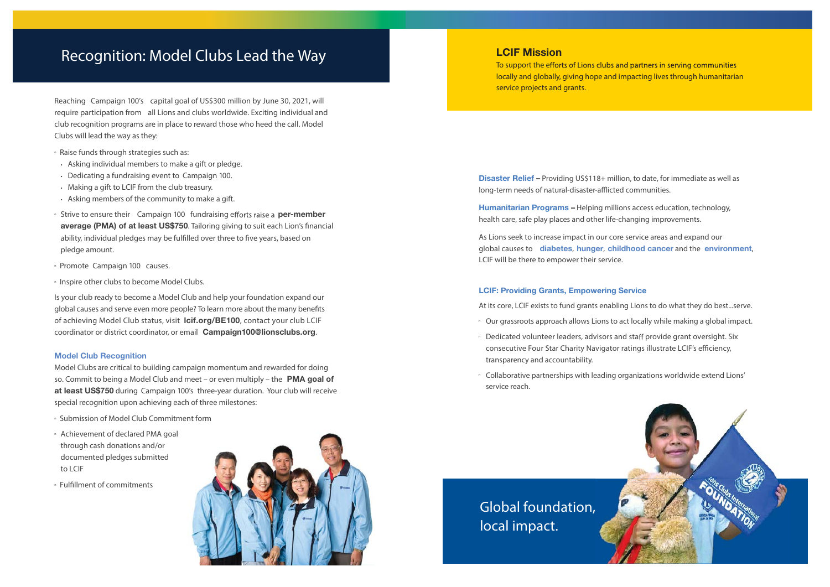## Recognition: Model Clubs Lead the Way

Reaching Campaign 100's capital goal of US\$300 million by June 30, 2021, will require participation from all Lions and clubs worldwide. Exciting individual and club recognition programs are in place to reward those who heed the call. Model Clubs will lead the way as they:

- <sup>n</sup> Raise funds through strategies such as:
- Asking individual members to make a gift or pledge.
- Dedicating a fundraising event to Campaign 100.
- Making a gift to LCIF from the club treasury.
- Asking members of the community to make a gift.
- <sup>n</sup> Strive to ensure their Campaign 100 fundraising efforts raise a **per-member average (PMA) of at least US\$750**. Tailoring giving to suit each Lion's financial ability, individual pledges may be fulfilled over three to five years, based on pledge amount.
- <sup>n</sup> Promote Campaign 100 causes.
- <sup>n</sup> Inspire other clubs to become Model Clubs.

Is your club ready to become a Model Club and help your foundation expand our global causes and serve even more people? To learn more about the many benefits of achieving Model Club status, visit **lcif.org/BE100**, contact your club LCIF coordinator or district coordinator, or email **Campaign100@lionsclubs.org**.

#### **Model Club Recognition**

Model Clubs are critical to building campaign momentum and rewarded for doing so. Commit to being a Model Club and meet – or even multiply – the **PMA goal of at least US\$750** during Campaign 100's three-year duration. Your club will receive special recognition upon achieving each of three milestones:

- n Submission of Model Club Commitment form
- <sup>n</sup> Achievement of declared PMA goal through cash donations and/or documented pledges submitted to LCIF
- n Fulfillment of commitments



### **LCIF Mission**

To support the efforts of Lions clubs and partners in serving communities locally and globally, giving hope and impacting lives through humanitarian service projects and grants.

**Disaster Relief –** Providing US\$118+ million, to date, for immediate as well as long-term needs of natural-disaster-afflicted communities.

**Humanitarian Programs –** Helping millions access education, technology, health care, safe play places and other life-changing improvements.

As Lions seek to increase impact in our core service areas and expand our global causes to **diabetes**, **hunger**, **childhood cancer** and the **environment**, LCIF will be there to empower their service.

#### **LCIF: Providing Grants, Empowering Service**

At its core, LCIF exists to fund grants enabling Lions to do what they do best...serve.

- <sup>n</sup> Our grassroots approach allows Lions to act locally while making a global impact.
- <sup>n</sup> Dedicated volunteer leaders, advisors and staff provide grant oversight. Six consecutive Four Star Charity Navigator ratings illustrate LCIF's efficiency, transparency and accountability.
- <sup>n</sup> Collaborative partnerships with leading organizations worldwide extend Lions' service reach.

Global foundation, local impact.